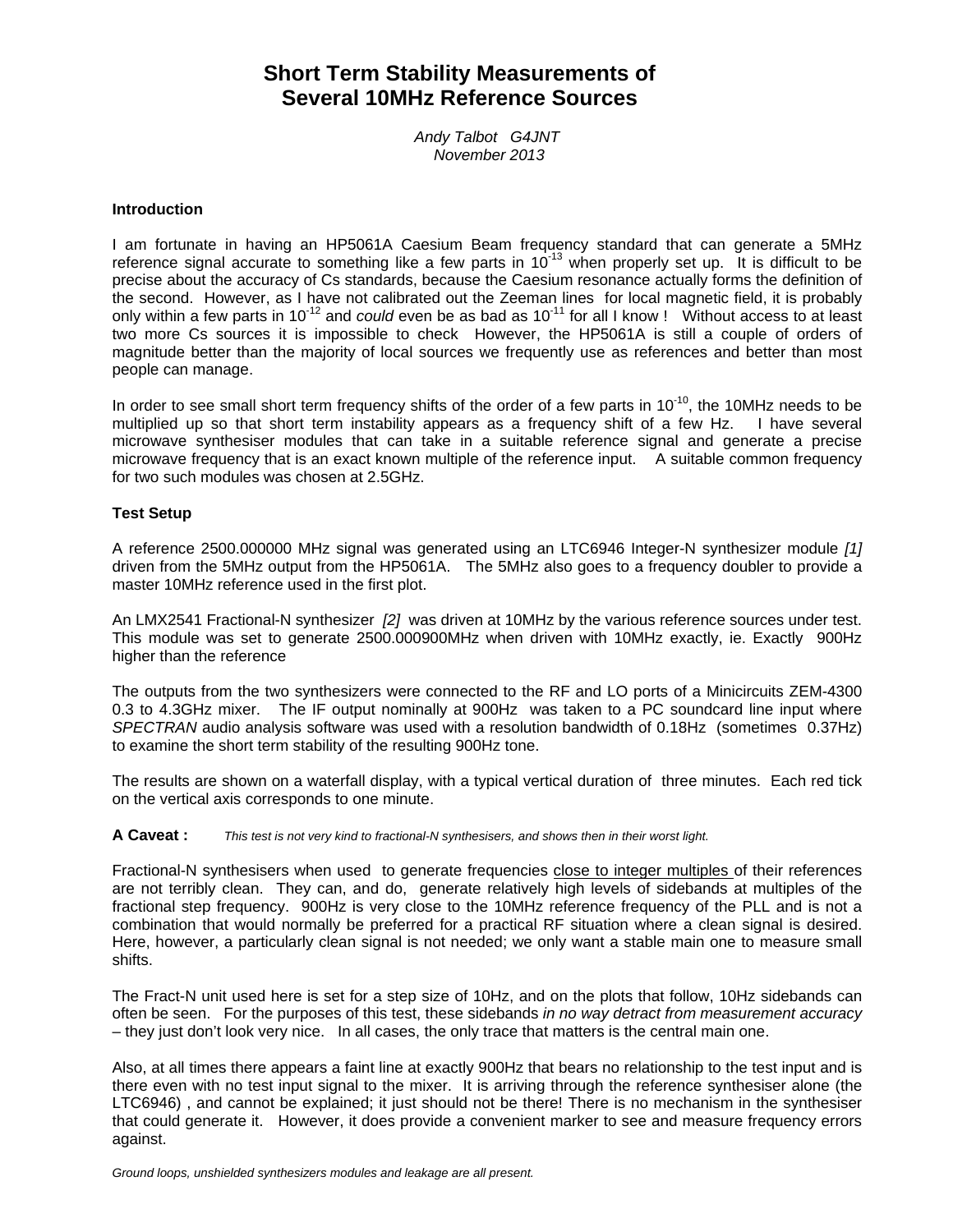# **Short Term Stability Measurements of Several 10MHz Reference Sources**

*Andy Talbot G4JNT November 2013*

#### **Introduction**

I am fortunate in having an HP5061A Caesium Beam frequency standard that can generate a 5MHz reference signal accurate to something like a few parts in 10<sup>-13</sup> when properly set up. It is difficult to be precise about the accuracy of Cs standards, because the Caesium resonance actually forms the definition of the second. However, as I have not calibrated out the Zeeman lines for local magnetic field, it is probably only within a few parts in 10-12 and *could* even be as bad as 10-11 for all I know ! Without access to at least two more Cs sources it is impossible to check However, the HP5061A is still a couple of orders of magnitude better than the majority of local sources we frequently use as references and better than most people can manage.

In order to see small short term frequency shifts of the order of a few parts in  $10^{-10}$ , the 10MHz needs to be multiplied up so that short term instability appears as a frequency shift of a few Hz. I have several microwave synthesiser modules that can take in a suitable reference signal and generate a precise microwave frequency that is an exact known multiple of the reference input. A suitable common frequency for two such modules was chosen at 2.5GHz.

#### **Test Setup**

A reference 2500.000000 MHz signal was generated using an LTC6946 Integer-N synthesizer module *[1]* driven from the 5MHz output from the HP5061A. The 5MHz also goes to a frequency doubler to provide a master 10MHz reference used in the first plot.

An LMX2541 Fractional-N synthesizer *[2]* was driven at 10MHz by the various reference sources under test. This module was set to generate 2500.000900MHz when driven with 10MHz exactly, ie. Exactly 900Hz higher than the reference

The outputs from the two synthesizers were connected to the RF and LO ports of a Minicircuits ZEM-4300 0.3 to 4.3GHz mixer. The IF output nominally at 900Hz was taken to a PC soundcard line input where *SPECTRAN* audio analysis software was used with a resolution bandwidth of 0.18Hz (sometimes 0.37Hz) to examine the short term stability of the resulting 900Hz tone.

The results are shown on a waterfall display, with a typical vertical duration of three minutes. Each red tick on the vertical axis corresponds to one minute.

**A Caveat :** *This test is not very kind to fractional-N synthesisers, and shows then in their worst light.*

Fractional-N synthesisers when used to generate frequencies close to integer multiples of their references are not terribly clean. They can, and do, generate relatively high levels of sidebands at multiples of the fractional step frequency. 900Hz is very close to the 10MHz reference frequency of the PLL and is not a combination that would normally be preferred for a practical RF situation where a clean signal is desired. Here, however, a particularly clean signal is not needed; we only want a stable main one to measure small shifts.

The Fract-N unit used here is set for a step size of 10Hz, and on the plots that follow, 10Hz sidebands can often be seen. For the purposes of this test, these sidebands *in no way detract from measurement accuracy* – they just don't look very nice. In all cases, the only trace that matters is the central main one.

Also, at all times there appears a faint line at exactly 900Hz that bears no relationship to the test input and is there even with no test input signal to the mixer. It is arriving through the reference synthesiser alone (the LTC6946) , and cannot be explained; it just should not be there! There is no mechanism in the synthesiser that could generate it. However, it does provide a convenient marker to see and measure frequency errors against.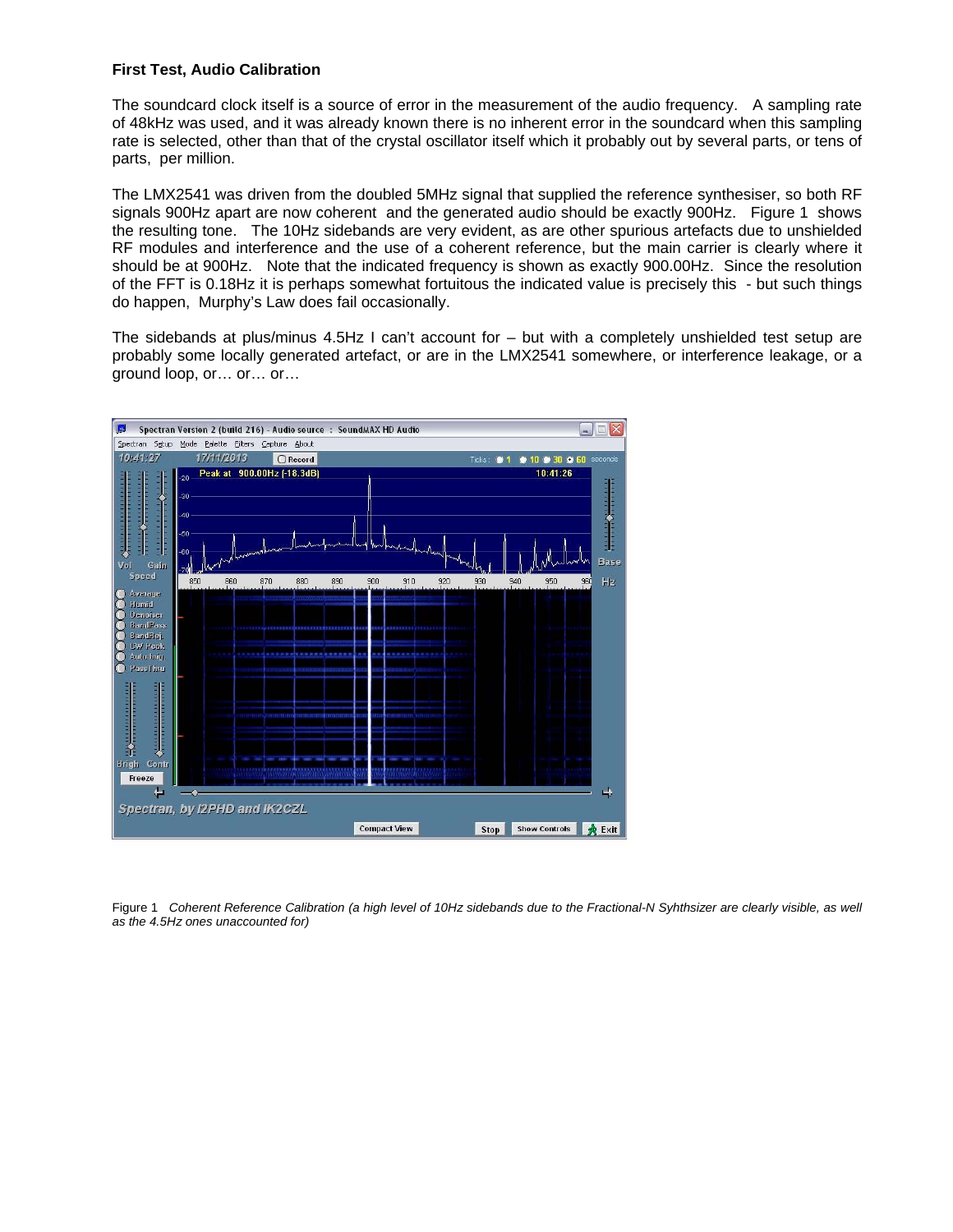# **First Test, Audio Calibration**

The soundcard clock itself is a source of error in the measurement of the audio frequency. A sampling rate of 48kHz was used, and it was already known there is no inherent error in the soundcard when this sampling rate is selected, other than that of the crystal oscillator itself which it probably out by several parts, or tens of parts, per million.

The LMX2541 was driven from the doubled 5MHz signal that supplied the reference synthesiser, so both RF signals 900Hz apart are now coherent and the generated audio should be exactly 900Hz. Figure 1 shows the resulting tone. The 10Hz sidebands are very evident, as are other spurious artefacts due to unshielded RF modules and interference and the use of a coherent reference, but the main carrier is clearly where it should be at 900Hz. Note that the indicated frequency is shown as exactly 900.00Hz. Since the resolution of the FFT is 0.18Hz it is perhaps somewhat fortuitous the indicated value is precisely this - but such things do happen, Murphy's Law does fail occasionally.

The sidebands at plus/minus 4.5Hz I can't account for – but with a completely unshielded test setup are probably some locally generated artefact, or are in the LMX2541 somewhere, or interference leakage, or a ground loop, or… or… or…



Figure 1 *Coherent Reference Calibration (a high level of 10Hz sidebands due to the Fractional-N Syhthsizer are clearly visible, as well as the 4.5Hz ones unaccounted for)*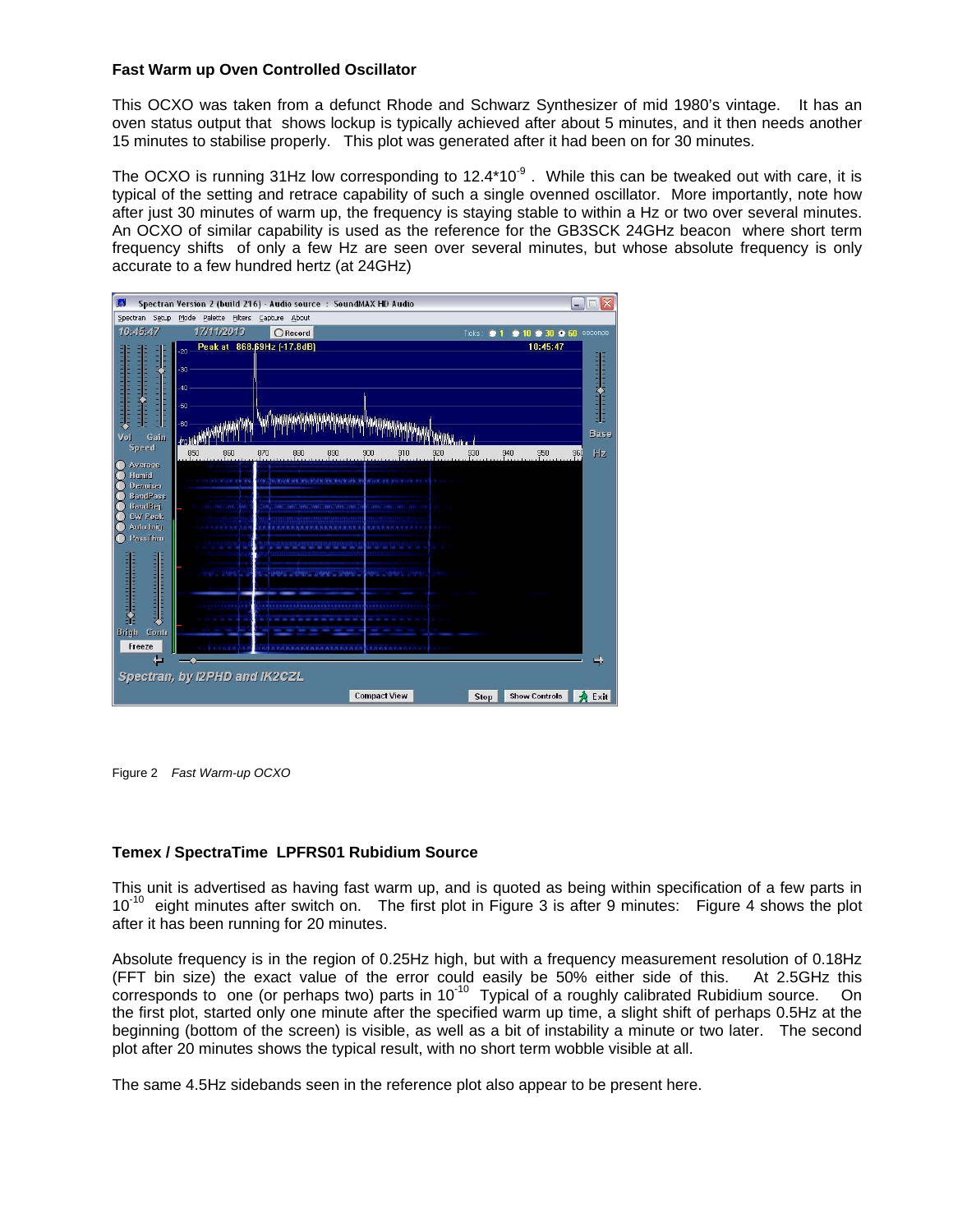# **Fast Warm up Oven Controlled Oscillator**

This OCXO was taken from a defunct Rhode and Schwarz Synthesizer of mid 1980's vintage. It has an oven status output that shows lockup is typically achieved after about 5 minutes, and it then needs another 15 minutes to stabilise properly. This plot was generated after it had been on for 30 minutes.

The OCXO is running 31Hz low corresponding to  $12.4*10<sup>-9</sup>$ . While this can be tweaked out with care, it is typical of the setting and retrace capability of such a single ovenned oscillator. More importantly, note how after just 30 minutes of warm up, the frequency is staying stable to within a Hz or two over several minutes. An OCXO of similar capability is used as the reference for the GB3SCK 24GHz beacon where short term frequency shifts of only a few Hz are seen over several minutes, but whose absolute frequency is only accurate to a few hundred hertz (at 24GHz)

| <b>I</b><br>Spectran Version 2 (build 216) - Audio source : SoundMAX HD Audio<br>$\Box$<br>$-$                                                                                                                                                                                                                                                                                                                                                          |                                    |                         |                            |            |                                                                                   |                     |                                                            | $ \overline{\mathsf{x}} $ |        |                 |                      |                        |  |
|---------------------------------------------------------------------------------------------------------------------------------------------------------------------------------------------------------------------------------------------------------------------------------------------------------------------------------------------------------------------------------------------------------------------------------------------------------|------------------------------------|-------------------------|----------------------------|------------|-----------------------------------------------------------------------------------|---------------------|------------------------------------------------------------|---------------------------|--------|-----------------|----------------------|------------------------|--|
| Spectran Setup                                                                                                                                                                                                                                                                                                                                                                                                                                          | Mode Palette Filters Capture About |                         |                            |            |                                                                                   |                     |                                                            |                           |        |                 |                      |                        |  |
| 10:45:47                                                                                                                                                                                                                                                                                                                                                                                                                                                |                                    | 17/11/2013              |                            | $O$ Record |                                                                                   |                     |                                                            |                           | Ticks: | $\bullet$ 1     |                      | • 10 • 30 • 60 seconds |  |
| $\sqrt{\frac{1}{1+\frac{1}{1+\frac{1}{1+\frac{1}{1+\frac{1}{1+\frac{1}{1+\frac{1}{1+\frac{1}{1+\frac{1}{1+\frac{1}{1+\frac{1}{1+\frac{1}{1+\frac{1}{1+\frac{1}{1+\frac{1}{1+\frac{1}{1+\frac{1}{1+\frac{1}{1+\frac{1}{1+\frac{1}{1+\frac{1}{1+\frac{1}{1+\frac{1}{1+\frac{1}{1+\frac{1}{1+\frac{1}{1+\frac{1}{1+\frac{1}{1+\frac{1}{1+\frac{1}{1+\frac{1}{1+\frac{1}{1+\frac{1}{1+\frac{1}{1+\frac{1}{1+\frac{1}{1+\frac$<br><b>THE REPORT PRO</b><br>İ | $-20 -$<br>$-30$<br>$-40$<br>$-50$ |                         | Peak at 868.69Hz [-17.8dB] |            |                                                                                   |                     |                                                            |                           |        |                 | 10:45:47             | <b>TELEVISION</b>      |  |
| <b>THEFT</b>                                                                                                                                                                                                                                                                                                                                                                                                                                            | $-60$                              |                         |                            |            |                                                                                   |                     |                                                            |                           |        |                 |                      |                        |  |
| Gain<br>Vol                                                                                                                                                                                                                                                                                                                                                                                                                                             | -l70.                              |                         |                            |            |                                                                                   |                     |                                                            |                           |        |                 |                      | Base                   |  |
| Speed                                                                                                                                                                                                                                                                                                                                                                                                                                                   | 850                                | 860                     | 870                        | 880        | 890                                                                               | 900                 | 910                                                        | 920                       | 930    | $\frac{940}{1}$ | 950                  | <b>Hz</b><br>960       |  |
| Average<br>Humid<br><b>Denoiser</b><br><b>BandPass</b><br><b>BandRej</b><br>CW Peak<br>Auto brin.<br>PassThru<br>д натигатата в гад<br>11111111111111<br>ЭF<br>Brigh<br>Contr<br>Freeze                                                                                                                                                                                                                                                                 |                                    | WORK MAIL<br><b>UMM</b> |                            |            | OWNER WHO WEIGHT OUR MODERNESS (#50<br><b><i><u>INTERNATIONAL ARABIAN</u></i></b> |                     | WOODE DEMONSTRATION COMPANY<br><b>RUN PUR PLASM PLASMA</b> |                           |        |                 |                      |                        |  |
|                                                                                                                                                                                                                                                                                                                                                                                                                                                         |                                    |                         |                            |            |                                                                                   |                     |                                                            |                           |        |                 |                      |                        |  |
| Spectran, by I2PHD and IK2CZL                                                                                                                                                                                                                                                                                                                                                                                                                           |                                    |                         |                            |            |                                                                                   |                     |                                                            |                           |        |                 |                      |                        |  |
|                                                                                                                                                                                                                                                                                                                                                                                                                                                         |                                    |                         |                            |            |                                                                                   | <b>Compact View</b> |                                                            |                           | Stop   |                 | <b>Show Controls</b> | <b>A</b> Exit          |  |

Figure 2 *Fast Warm-up OCXO*

## **Temex / SpectraTime LPFRS01 Rubidium Source**

This unit is advertised as having fast warm up, and is quoted as being within specification of a few parts in 10<sup>-10</sup> eight minutes after switch on. The first plot in Figure 3 is after 9 minutes: Figure 4 shows the plot after it has been running for 20 minutes.

Absolute frequency is in the region of 0.25Hz high, but with a frequency measurement resolution of 0.18Hz (FFT bin size) the exact value of the error could easily be 50% either side of this. At 2.5GHz this corresponds to one (or perhaps two) parts in 10-10 Typical of a roughly calibrated Rubidium source. On the first plot, started only one minute after the specified warm up time, a slight shift of perhaps 0.5Hz at the beginning (bottom of the screen) is visible, as well as a bit of instability a minute or two later. The second plot after 20 minutes shows the typical result, with no short term wobble visible at all.

The same 4.5Hz sidebands seen in the reference plot also appear to be present here.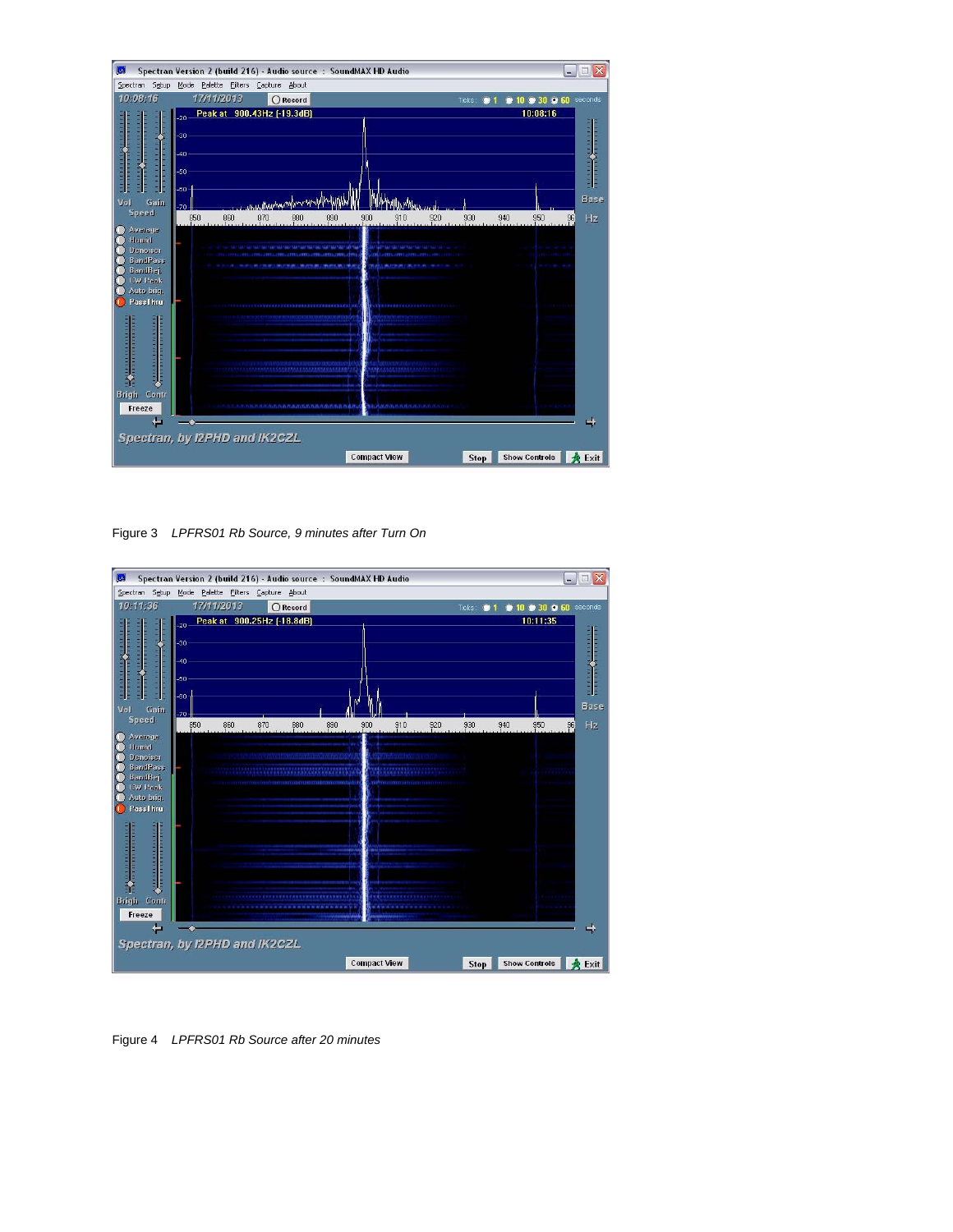

Figure 3 *LPFRS01 Rb Source, 9 minutes after Turn On*



Figure 4 *LPFRS01 Rb Source after 20 minutes*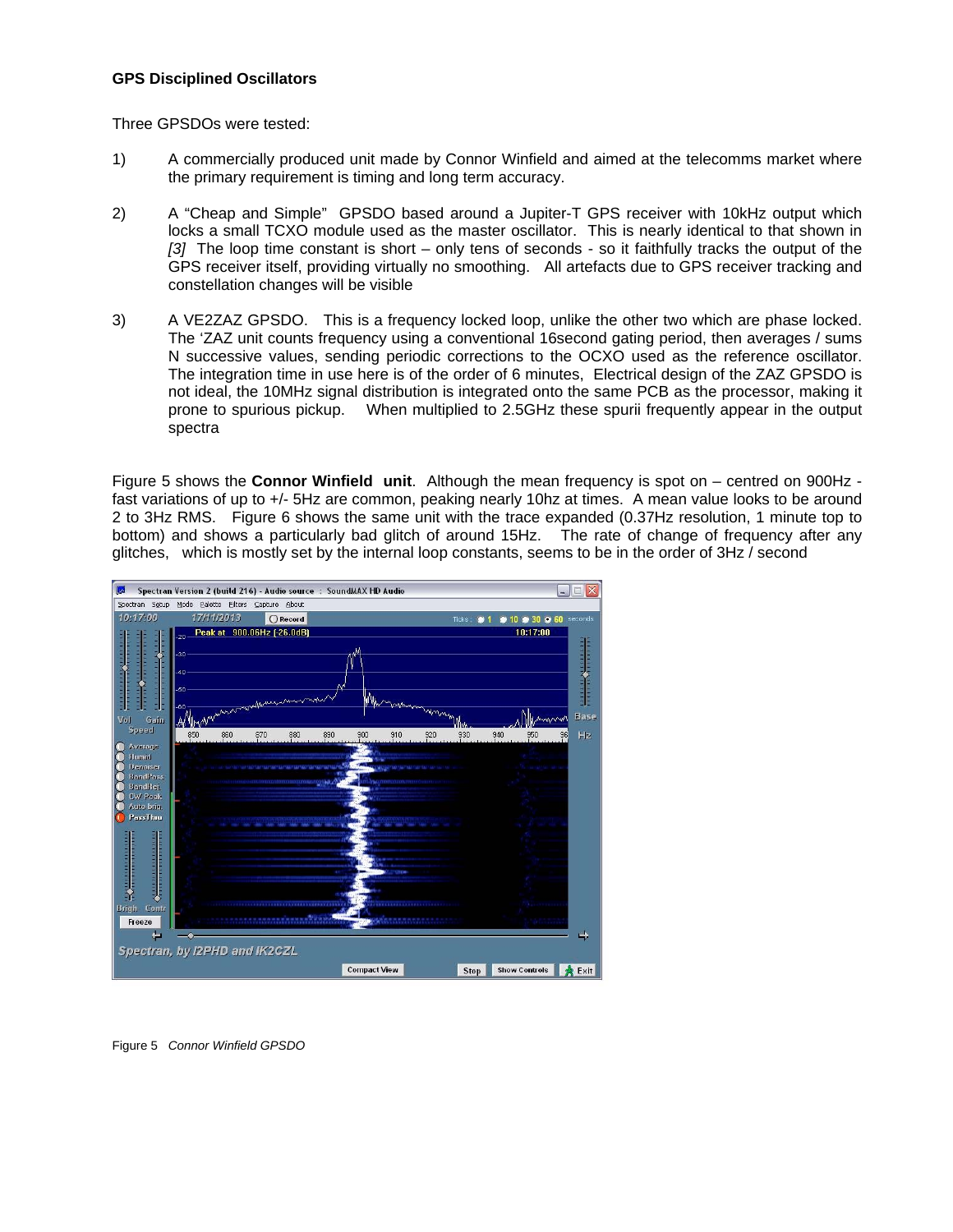## **GPS Disciplined Oscillators**

Three GPSDOs were tested:

- 1) A commercially produced unit made by Connor Winfield and aimed at the telecomms market where the primary requirement is timing and long term accuracy.
- 2) A "Cheap and Simple" GPSDO based around a Jupiter-T GPS receiver with 10kHz output which locks a small TCXO module used as the master oscillator. This is nearly identical to that shown in *[3]* The loop time constant is short – only tens of seconds - so it faithfully tracks the output of the GPS receiver itself, providing virtually no smoothing. All artefacts due to GPS receiver tracking and constellation changes will be visible
- 3) A VE2ZAZ GPSDO. This is a frequency locked loop, unlike the other two which are phase locked. The 'ZAZ unit counts frequency using a conventional 16second gating period, then averages / sums N successive values, sending periodic corrections to the OCXO used as the reference oscillator. The integration time in use here is of the order of 6 minutes, Electrical design of the ZAZ GPSDO is not ideal, the 10MHz signal distribution is integrated onto the same PCB as the processor, making it prone to spurious pickup. When multiplied to 2.5GHz these spurii frequently appear in the output spectra

Figure 5 shows the **Connor Winfield unit**. Although the mean frequency is spot on – centred on 900Hz fast variations of up to +/- 5Hz are common, peaking nearly 10hz at times. A mean value looks to be around 2 to 3Hz RMS. Figure 6 shows the same unit with the trace expanded (0.37Hz resolution, 1 minute top to bottom) and shows a particularly bad glitch of around 15Hz. The rate of change of frequency after any glitches, which is mostly set by the internal loop constants, seems to be in the order of 3Hz / second



Figure 5 *Connor Winfield GPSDO*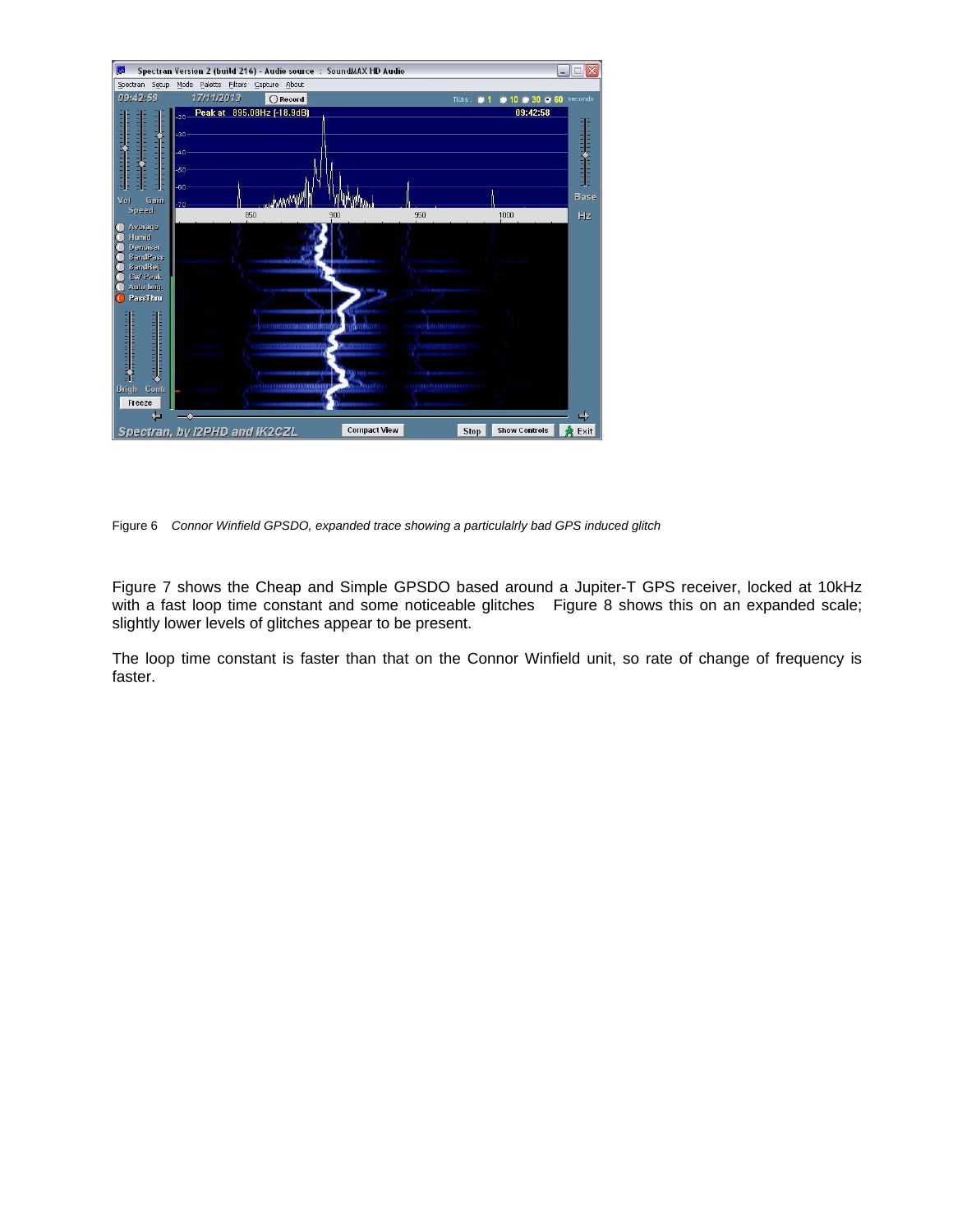

Figure 6 *Connor Winfield GPSDO, expanded trace showing a particulalrly bad GPS induced glitch*

Figure 7 shows the Cheap and Simple GPSDO based around a Jupiter-T GPS receiver, locked at 10kHz with a fast loop time constant and some noticeable glitches Figure 8 shows this on an expanded scale; slightly lower levels of glitches appear to be present.

The loop time constant is faster than that on the Connor Winfield unit, so rate of change of frequency is faster.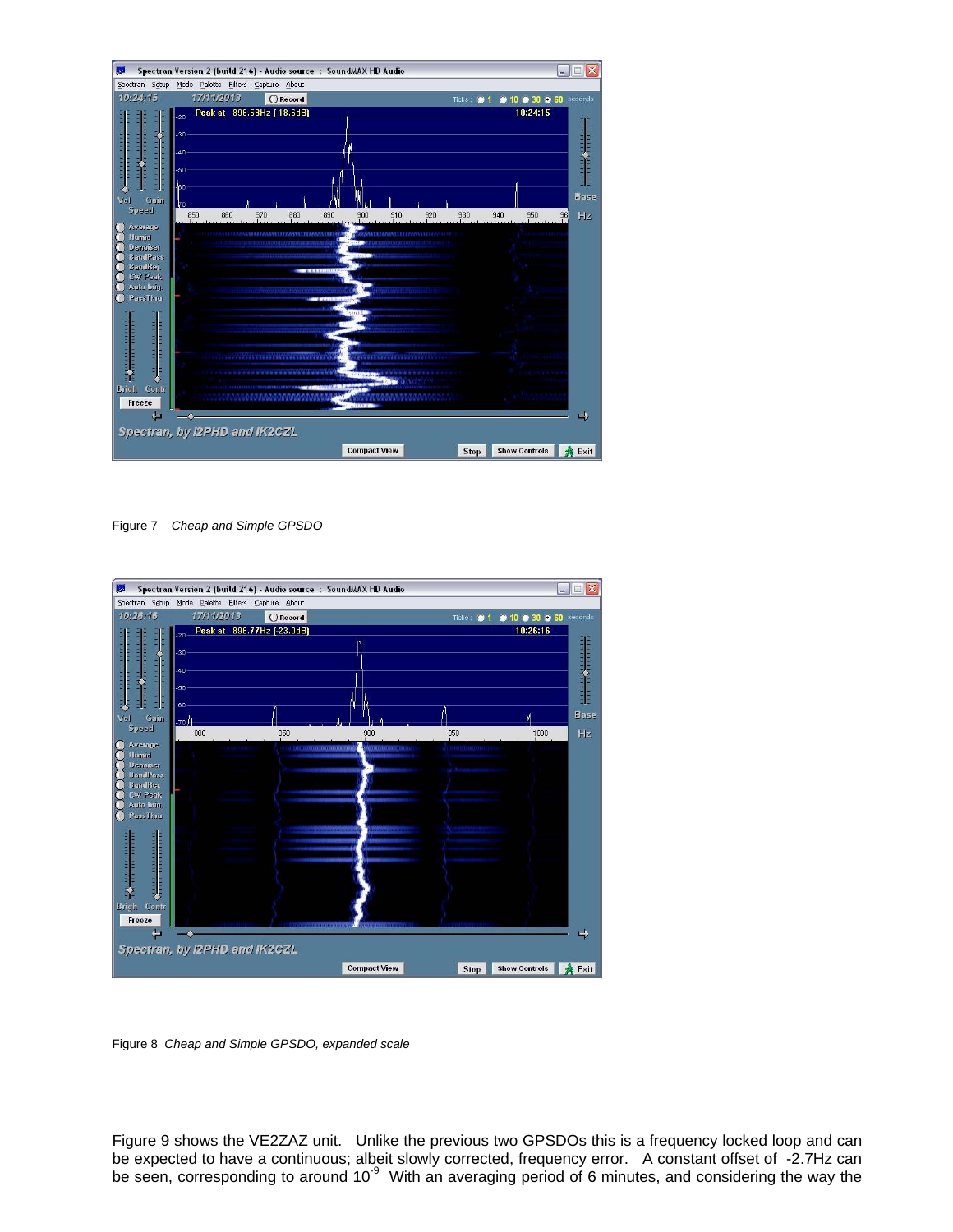

Figure 7 *Cheap and Simple GPSDO*



Figure 8 *Cheap and Simple GPSDO, expanded scale*

Figure 9 shows the VE2ZAZ unit. Unlike the previous two GPSDOs this is a frequency locked loop and can be expected to have a continuous; albeit slowly corrected, frequency error. A constant offset of -2.7Hz can be seen, corresponding to around  $10<sup>-9</sup>$  With an averaging period of 6 minutes, and considering the way the